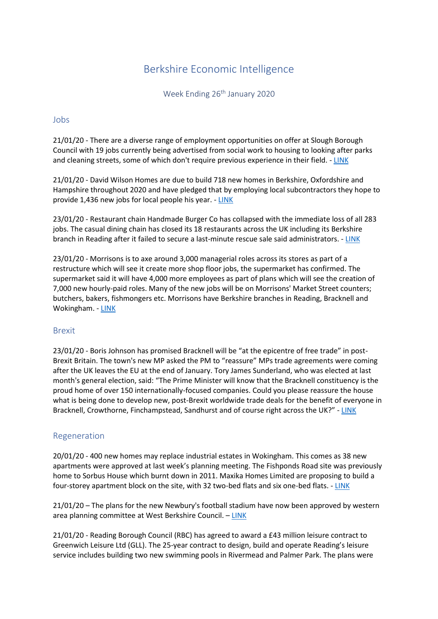# Berkshire Economic Intelligence

Week Ending 26<sup>th</sup> January 2020

#### Jobs

21/01/20 - There are a diverse range of employment opportunities on offer at Slough Borough Council with 19 jobs currently being advertised from social work to housing to looking after parks and cleaning streets, some of which don't require previous experience in their field. - [LINK](https://www.getreading.co.uk/news/reading-berkshire-news/19-slough-borough-council-jobs-17604171)

21/01/20 - David Wilson Homes are due to build 718 new homes in Berkshire, Oxfordshire and Hampshire throughout 2020 and have pledged that by employing local subcontractors they hope to provide 1,436 new jobs for local people his year. - [LINK](https://www.wokinghampaper.co.uk/house-builder-pledges-to-create-more-than-1400-jobs-across-thames-valley/)

23/01/20 - Restaurant chain Handmade Burger Co has collapsed with the immediate loss of all 283 jobs. The casual dining chain has closed its 18 restaurants across the UK including its Berkshire branch in Reading after it failed to secure a last-minute rescue sale said administrators. - [LINK](https://www.sloughobserver.co.uk/news/national-news/18182241.handmade-burger-co-collapses-loss-283-jobs/)

23/01/20 - Morrisons is to axe around 3,000 managerial roles across its stores as part of a restructure which will see it create more shop floor jobs, the supermarket has confirmed. The supermarket said it will have 4,000 more employees as part of plans which will see the creation of 7,000 new hourly-paid roles. Many of the new jobs will be on Morrisons' Market Street counters; butchers, bakers, fishmongers etc. Morrisons have Berkshire branches in Reading, Bracknell and Wokingham. - [LINK](https://www.getreading.co.uk/news/uk-world-news/morrisons-cutting-3000-jobs-across-17618325)

## Brexit

23/01/20 - Boris Johnson has promised Bracknell will be "at the epicentre of free trade" in post-Brexit Britain. The town's new MP asked the PM to "reassure" MPs trade agreements were coming after the UK leaves the EU at the end of January. Tory James Sunderland, who was elected at last month's general election, said: "The Prime Minister will know that the Bracknell constituency is the proud home of over 150 internationally-focused companies. Could you please reassure the house what is being done to develop new, post-Brexit worldwide trade deals for the benefit of everyone in Bracknell, Crowthorne, Finchampstead, Sandhurst and of course right across the UK?" - [LINK](https://www.getreading.co.uk/news/business/boris-johnson-promises-bracknell-epicentre-17616659)

## Regeneration

20/01/20 - 400 new homes may replace industrial estates in Wokingham. This comes as 38 new apartments were approved at last week's planning meeting. The Fishponds Road site was previously home to Sorbus House which burnt down in 2011. Maxika Homes Limited are proposing to build a four-storey apartment block on the site, with 32 two-bed flats and six one-bed flats. - [LINK](https://www.wokinghampaper.co.uk/400-new-homes-may-replace-industrial-estates-in-wokingham/)

21/01/20 – The plans for the new Newbury's football stadium have now been approved by western area planning committee at West Berkshire Council. – [LINK](https://www.getreading.co.uk/news/reading-berkshire-news/council-planners-back-campaign-new-17603357)

21/01/20 - Reading Borough Council (RBC) has agreed to award a £43 million leisure contract to Greenwich Leisure Ltd (GLL). The 25-year contract to design, build and operate Reading's leisure service includes building two new swimming pools in Rivermead and Palmer Park. The plans were